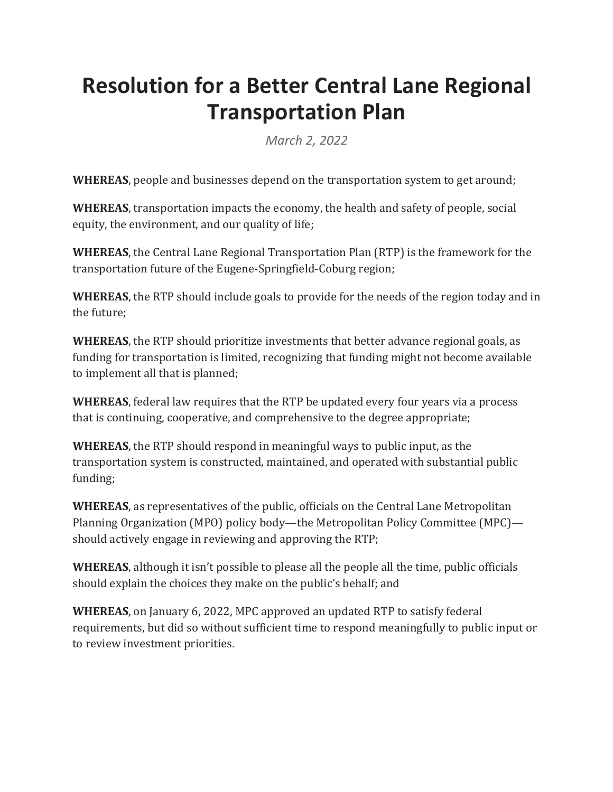# **Resolution for a Better Central Lane Regional Transportation Plan**

*March 2, 2022*

**WHEREAS**, people and businesses depend on the transportation system to get around;

**WHEREAS**, transportation impacts the economy, the health and safety of people, social equity, the environment, and our quality of life;

**WHEREAS**, the Central Lane Regional Transportation Plan (RTP) is the framework for the transportation future of the Eugene-Springfield-Coburg region;

**WHEREAS**, the RTP should include goals to provide for the needs of the region today and in the future:

**WHEREAS**, the RTP should prioritize investments that better advance regional goals, as funding for transportation is limited, recognizing that funding might not become available to implement all that is planned;

**WHEREAS**, federal law requires that the RTP be updated every four years via a process that is continuing, cooperative, and comprehensive to the degree appropriate;

**WHEREAS**, the RTP should respond in meaningful ways to public input, as the transportation system is constructed, maintained, and operated with substantial public funding;

**WHEREAS**, as representatives of the public, officials on the Central Lane Metropolitan Planning Organization (MPO) policy body—the Metropolitan Policy Committee (MPC) should actively engage in reviewing and approving the RTP;

**WHEREAS**, although it isn't possible to please all the people all the time, public officials should explain the choices they make on the public's behalf; and

**WHEREAS**, on January 6, 2022, MPC approved an updated RTP to satisfy federal requirements, but did so without sufficient time to respond meaningfully to public input or to review investment priorities.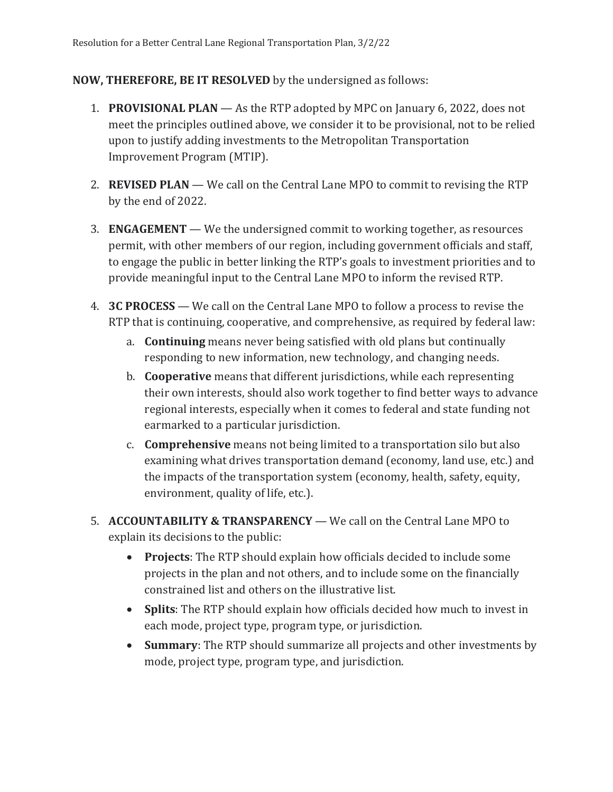#### **NOW, THEREFORE, BE IT RESOLVED** by the undersigned as follows:

- 1. **PROVISIONAL PLAN** As the RTP adopted by MPC on January 6, 2022, does not meet the principles outlined above, we consider it to be provisional, not to be relied upon to justify adding investments to the Metropolitan Transportation Improvement Program (MTIP).
- 2. **REVISED PLAN** We call on the Central Lane MPO to commit to revising the RTP by the end of 2022.
- 3. **ENGAGEMENT** We the undersigned commit to working together, as resources permit, with other members of our region, including government officials and staff, to engage the public in better linking the RTP's goals to investment priorities and to provide meaningful input to the Central Lane MPO to inform the revised RTP.
- 4. **3C PROCESS** We call on the Central Lane MPO to follow a process to revise the RTP that is continuing, cooperative, and comprehensive, as required by federal law:
	- a. **Continuing** means never being satisfied with old plans but continually responding to new information, new technology, and changing needs.
	- b. **Cooperative** means that different jurisdictions, while each representing their own interests, should also work together to find better ways to advance regional interests, especially when it comes to federal and state funding not earmarked to a particular jurisdiction.
	- c. **Comprehensive** means not being limited to a transportation silo but also examining what drives transportation demand (economy, land use, etc.) and the impacts of the transportation system (economy, health, safety, equity, environment, quality of life, etc.).
- 5. **ACCOUNTABILITY & TRANSPARENCY** We call on the Central Lane MPO to explain its decisions to the public:
	- **Projects**: The RTP should explain how officials decided to include some projects in the plan and not others, and to include some on the financially constrained list and others on the illustrative list.
	- Splits: The RTP should explain how officials decided how much to invest in each mode, project type, program type, or jurisdiction.
	- **Summary**: The RTP should summarize all projects and other investments by mode, project type, program type, and jurisdiction.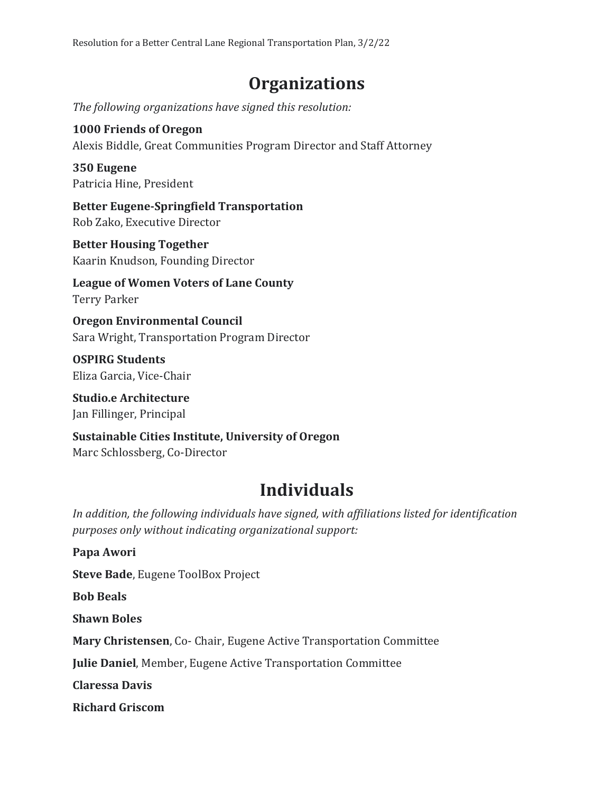### **Organizations**

The following organizations have signed this resolution:

## **1000 Friends of Oregon**

Alexis Biddle, Great Communities Program Director and Staff Attorney

#### **350 Eugene** Patricia Hine, President

**Better Eugene-Springfield Transportation** Rob Zako, Executive Director

#### **Better Housing Together** Kaarin Knudson, Founding Director

League of Women Voters of Lane County Terry Parker

**Oregon Environmental Council** Sara Wright, Transportation Program Director

**OSPIRG Students** Eliza Garcia, Vice-Chair

**Studio.e Architecture** Jan Fillinger, Principal

#### **Sustainable Cities Institute, University of Oregon** Marc Schlossberg, Co-Director

## **Individuals**

In addition, the following individuals have signed, with affiliations listed for identification *purposes only without indicating organizational support:*

**Papa Awori Steve Bade**, Eugene ToolBox Project **Bob Beals Shawn Boles Mary Christensen, Co- Chair, Eugene Active Transportation Committee Julie Daniel**, Member, Eugene Active Transportation Committee **Claressa Davis Richard Griscom**